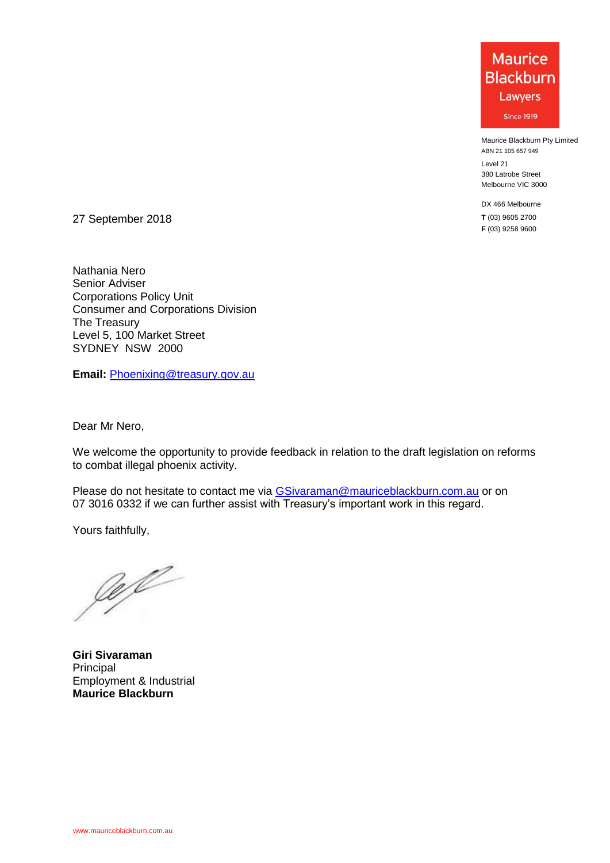Maurice Blackburn Pty Limited ABN 21 105 657 949

Level 21 380 Latrobe Street Melbourne VIC 3000

DX 466 Melbourne **T** (03) 9605 2700 **F** (03) 9258 9600

27 September 2018

Nathania Nero Senior Adviser Corporations Policy Unit Consumer and Corporations Division The Treasury Level 5, 100 Market Street SYDNEY NSW 2000

**Email:** [Phoenixing@treasury.gov.au](mailto:Phoenixing@treasury.gov.au?subject=Enquiry%20about:%20Reforms%20to%20combat%20illegal%20phoenix%20activity%20–%20Draft%20Legislation)

Dear Mr Nero,

We welcome the opportunity to provide feedback in relation to the draft legislation on reforms to combat illegal phoenix activity.

Please do not hesitate to contact me via [GSivaraman@mauriceblackburn.com.au](mailto:GSivaraman@mauriceblackburn.com.au) or on 07 3016 0332 if we can further assist with Treasury's important work in this regard.

Yours faithfully,

Je fl

**Giri Sivaraman Principal** Employment & Industrial **Maurice Blackburn**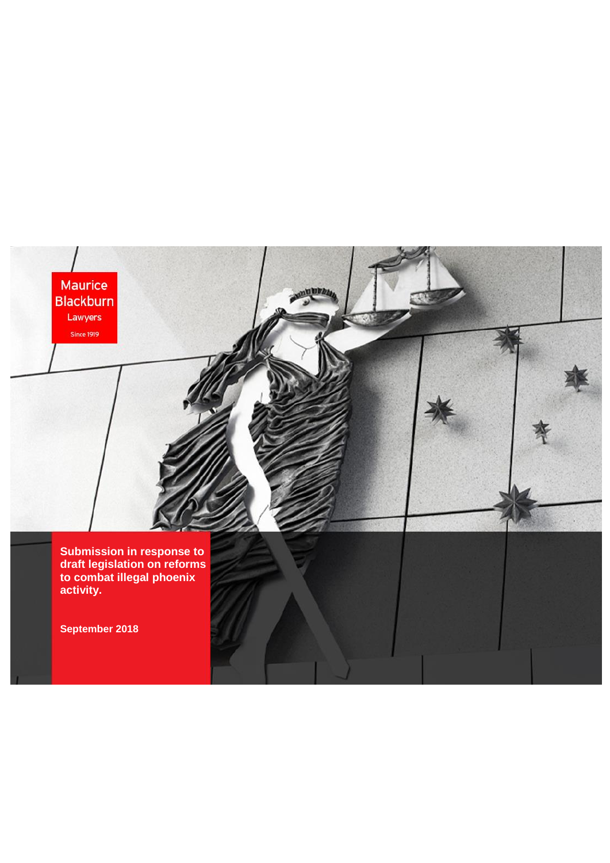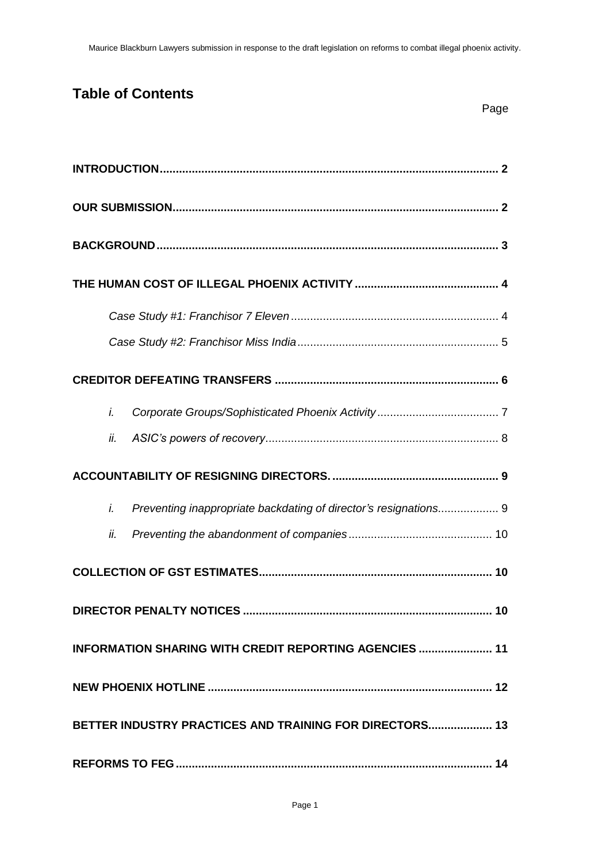# **Table of Contents**

|  | Page |
|--|------|
|  |      |

| i.                                                                     |  |  |  |  |  |
|------------------------------------------------------------------------|--|--|--|--|--|
| ii.                                                                    |  |  |  |  |  |
|                                                                        |  |  |  |  |  |
| Preventing inappropriate backdating of director's resignations 9<br>i. |  |  |  |  |  |
| ii.                                                                    |  |  |  |  |  |
|                                                                        |  |  |  |  |  |
|                                                                        |  |  |  |  |  |
| <b>INFORMATION SHARING WITH CREDIT REPORTING AGENCIES  11</b>          |  |  |  |  |  |
|                                                                        |  |  |  |  |  |
| BETTER INDUSTRY PRACTICES AND TRAINING FOR DIRECTORS 13                |  |  |  |  |  |
|                                                                        |  |  |  |  |  |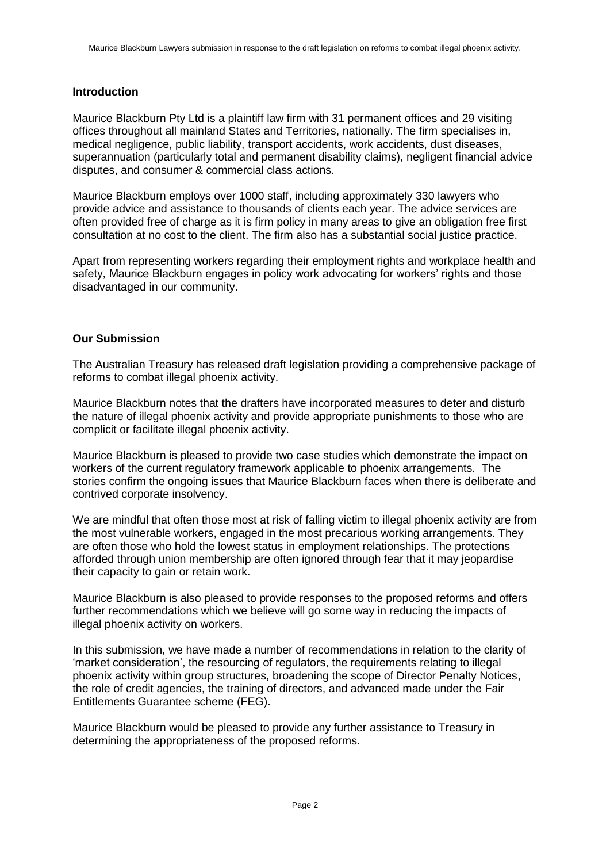# <span id="page-3-0"></span>**Introduction**

Maurice Blackburn Pty Ltd is a plaintiff law firm with 31 permanent offices and 29 visiting offices throughout all mainland States and Territories, nationally. The firm specialises in, medical negligence, public liability, transport accidents, work accidents, dust diseases, superannuation (particularly total and permanent disability claims), negligent financial advice disputes, and consumer & commercial class actions.

Maurice Blackburn employs over 1000 staff, including approximately 330 lawyers who provide advice and assistance to thousands of clients each year. The advice services are often provided free of charge as it is firm policy in many areas to give an obligation free first consultation at no cost to the client. The firm also has a substantial social justice practice.

Apart from representing workers regarding their employment rights and workplace health and safety, Maurice Blackburn engages in policy work advocating for workers' rights and those disadvantaged in our community.

## <span id="page-3-1"></span>**Our Submission**

The Australian Treasury has released draft legislation providing a comprehensive package of reforms to combat illegal phoenix activity.

Maurice Blackburn notes that the drafters have incorporated measures to deter and disturb the nature of illegal phoenix activity and provide appropriate punishments to those who are complicit or facilitate illegal phoenix activity.

Maurice Blackburn is pleased to provide two case studies which demonstrate the impact on workers of the current regulatory framework applicable to phoenix arrangements. The stories confirm the ongoing issues that Maurice Blackburn faces when there is deliberate and contrived corporate insolvency.

We are mindful that often those most at risk of falling victim to illegal phoenix activity are from the most vulnerable workers, engaged in the most precarious working arrangements. They are often those who hold the lowest status in employment relationships. The protections afforded through union membership are often ignored through fear that it may jeopardise their capacity to gain or retain work.

Maurice Blackburn is also pleased to provide responses to the proposed reforms and offers further recommendations which we believe will go some way in reducing the impacts of illegal phoenix activity on workers.

In this submission, we have made a number of recommendations in relation to the clarity of 'market consideration', the resourcing of regulators, the requirements relating to illegal phoenix activity within group structures, broadening the scope of Director Penalty Notices, the role of credit agencies, the training of directors, and advanced made under the Fair Entitlements Guarantee scheme (FEG).

Maurice Blackburn would be pleased to provide any further assistance to Treasury in determining the appropriateness of the proposed reforms.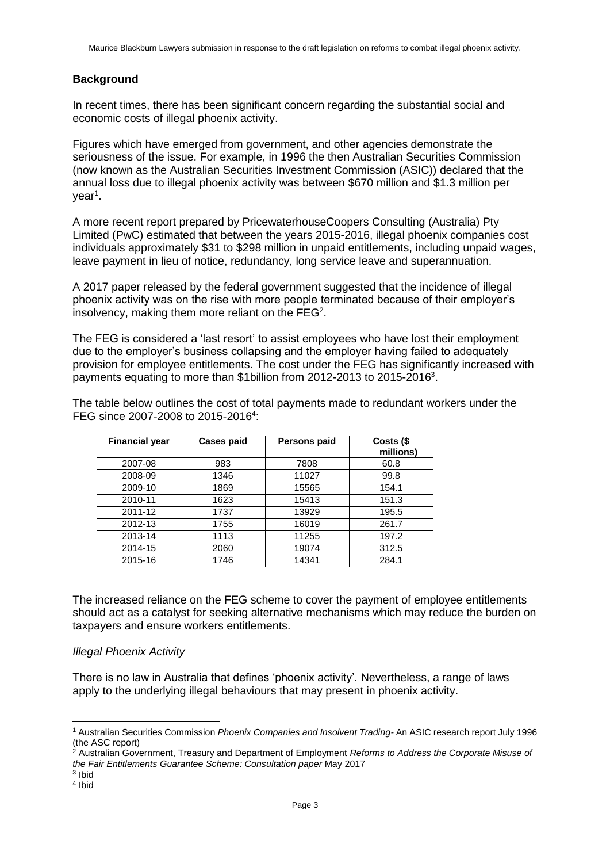# <span id="page-4-0"></span>**Background**

In recent times, there has been significant concern regarding the substantial social and economic costs of illegal phoenix activity.

Figures which have emerged from government, and other agencies demonstrate the seriousness of the issue. For example, in 1996 the then Australian Securities Commission (now known as the Australian Securities Investment Commission (ASIC)) declared that the annual loss due to illegal phoenix activity was between \$670 million and \$1.3 million per year<sup>1</sup>.

A more recent report prepared by PricewaterhouseCoopers Consulting (Australia) Pty Limited (PwC) estimated that between the years 2015-2016, illegal phoenix companies cost individuals approximately \$31 to \$298 million in unpaid entitlements, including unpaid wages, leave payment in lieu of notice, redundancy, long service leave and superannuation.

A 2017 paper released by the federal government suggested that the incidence of illegal phoenix activity was on the rise with more people terminated because of their employer's insolvency, making them more reliant on the FEG<sup>2</sup>.

The FEG is considered a 'last resort' to assist employees who have lost their employment due to the employer's business collapsing and the employer having failed to adequately provision for employee entitlements. The cost under the FEG has significantly increased with payments equating to more than \$1billion from 2012-2013 to 2015-2016<sup>3</sup>.

The table below outlines the cost of total payments made to redundant workers under the FEG since 2007-2008 to 2015-2016<sup>4</sup>:

| <b>Financial year</b> | <b>Cases paid</b> | Persons paid | Costs (\$<br>millions) |
|-----------------------|-------------------|--------------|------------------------|
| 2007-08               | 983               | 7808         | 60.8                   |
| 2008-09               | 1346              | 11027        | 99.8                   |
| 2009-10               | 1869              | 15565        | 154.1                  |
| 2010-11               | 1623              | 15413        | 151.3                  |
| 2011-12               | 1737              | 13929        | 195.5                  |
| 2012-13               | 1755              | 16019        | 261.7                  |
| 2013-14               | 1113              | 11255        | 197.2                  |
| 2014-15               | 2060              | 19074        | 312.5                  |
| 2015-16               | 1746              | 14341        | 284.1                  |

The increased reliance on the FEG scheme to cover the payment of employee entitlements should act as a catalyst for seeking alternative mechanisms which may reduce the burden on taxpayers and ensure workers entitlements.

## *Illegal Phoenix Activity*

There is no law in Australia that defines 'phoenix activity'. Nevertheless, a range of laws apply to the underlying illegal behaviours that may present in phoenix activity.

 $\overline{a}$ 

<sup>1</sup> Australian Securities Commission *Phoenix Companies and Insolvent Trading-* An ASIC research report July 1996 (the ASC report)

<sup>2</sup> Australian Government, Treasury and Department of Employment *Reforms to Address the Corporate Misuse of the Fair Entitlements Guarantee Scheme: Consultation paper* May 2017

<sup>3</sup> Ibid

<sup>4</sup> Ibid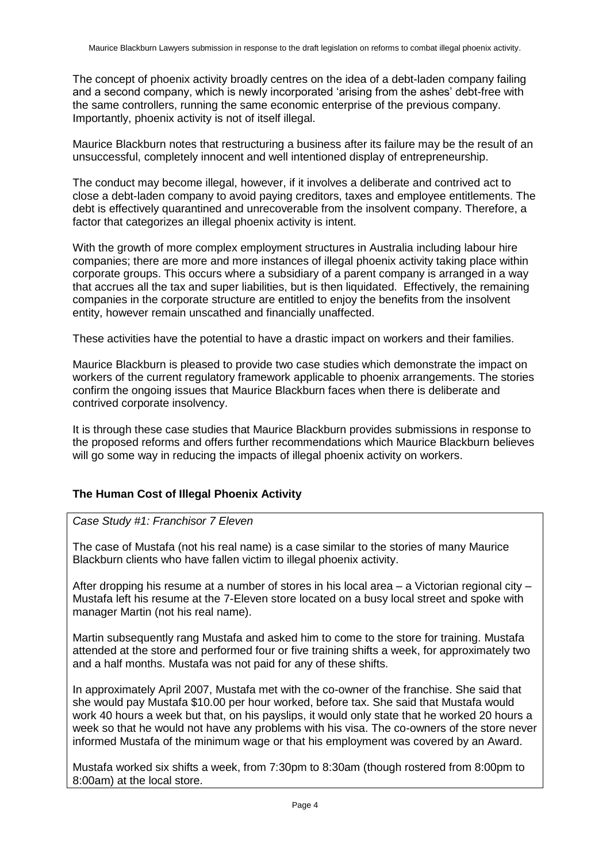The concept of phoenix activity broadly centres on the idea of a debt-laden company failing and a second company, which is newly incorporated 'arising from the ashes' debt-free with the same controllers, running the same economic enterprise of the previous company. Importantly, phoenix activity is not of itself illegal.

Maurice Blackburn notes that restructuring a business after its failure may be the result of an unsuccessful, completely innocent and well intentioned display of entrepreneurship.

The conduct may become illegal, however, if it involves a deliberate and contrived act to close a debt-laden company to avoid paying creditors, taxes and employee entitlements. The debt is effectively quarantined and unrecoverable from the insolvent company. Therefore, a factor that categorizes an illegal phoenix activity is intent.

With the growth of more complex employment structures in Australia including labour hire companies; there are more and more instances of illegal phoenix activity taking place within corporate groups. This occurs where a subsidiary of a parent company is arranged in a way that accrues all the tax and super liabilities, but is then liquidated. Effectively, the remaining companies in the corporate structure are entitled to enjoy the benefits from the insolvent entity, however remain unscathed and financially unaffected.

These activities have the potential to have a drastic impact on workers and their families.

Maurice Blackburn is pleased to provide two case studies which demonstrate the impact on workers of the current regulatory framework applicable to phoenix arrangements. The stories confirm the ongoing issues that Maurice Blackburn faces when there is deliberate and contrived corporate insolvency.

It is through these case studies that Maurice Blackburn provides submissions in response to the proposed reforms and offers further recommendations which Maurice Blackburn believes will go some way in reducing the impacts of illegal phoenix activity on workers.

# <span id="page-5-1"></span><span id="page-5-0"></span>**The Human Cost of Illegal Phoenix Activity**

*Case Study #1: Franchisor 7 Eleven* 

The case of Mustafa (not his real name) is a case similar to the stories of many Maurice Blackburn clients who have fallen victim to illegal phoenix activity.

After dropping his resume at a number of stores in his local area – a Victorian regional city – Mustafa left his resume at the 7-Eleven store located on a busy local street and spoke with manager Martin (not his real name).

Martin subsequently rang Mustafa and asked him to come to the store for training. Mustafa attended at the store and performed four or five training shifts a week, for approximately two and a half months. Mustafa was not paid for any of these shifts.

In approximately April 2007, Mustafa met with the co-owner of the franchise. She said that she would pay Mustafa \$10.00 per hour worked, before tax. She said that Mustafa would work 40 hours a week but that, on his payslips, it would only state that he worked 20 hours a week so that he would not have any problems with his visa. The co-owners of the store never informed Mustafa of the minimum wage or that his employment was covered by an Award.

Mustafa worked six shifts a week, from 7:30pm to 8:30am (though rostered from 8:00pm to 8:00am) at the local store.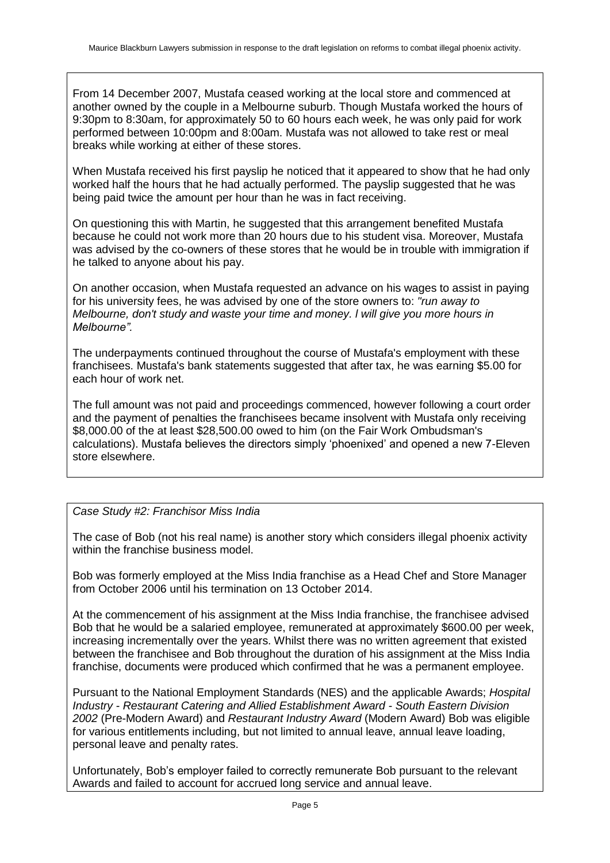From 14 December 2007, Mustafa ceased working at the local store and commenced at another owned by the couple in a Melbourne suburb. Though Mustafa worked the hours of 9:30pm to 8:30am, for approximately 50 to 60 hours each week, he was only paid for work performed between 10:00pm and 8:00am. Mustafa was not allowed to take rest or meal breaks while working at either of these stores.

When Mustafa received his first payslip he noticed that it appeared to show that he had only worked half the hours that he had actually performed. The payslip suggested that he was being paid twice the amount per hour than he was in fact receiving.

On questioning this with Martin, he suggested that this arrangement benefited Mustafa because he could not work more than 20 hours due to his student visa. Moreover, Mustafa was advised by the co-owners of these stores that he would be in trouble with immigration if he talked to anyone about his pay.

On another occasion, when Mustafa requested an advance on his wages to assist in paying for his university fees, he was advised by one of the store owners to: *"run away to Melbourne, don't study and waste your time and money. l will give you more hours in Melbourne".*

The underpayments continued throughout the course of Mustafa's employment with these franchisees. Mustafa's bank statements suggested that after tax, he was earning \$5.00 for each hour of work net.

The full amount was not paid and proceedings commenced, however following a court order and the payment of penalties the franchisees became insolvent with Mustafa only receiving \$8,000.00 of the at least \$28,500.00 owed to him (on the Fair Work Ombudsman's calculations). Mustafa believes the directors simply 'phoenixed' and opened a new 7-Eleven store elsewhere.

<span id="page-6-0"></span>*Case Study #2: Franchisor Miss India*

The case of Bob (not his real name) is another story which considers illegal phoenix activity within the franchise business model.

Bob was formerly employed at the Miss India franchise as a Head Chef and Store Manager from October 2006 until his termination on 13 October 2014.

At the commencement of his assignment at the Miss India franchise, the franchisee advised Bob that he would be a salaried employee, remunerated at approximately \$600.00 per week, increasing incrementally over the years. Whilst there was no written agreement that existed between the franchisee and Bob throughout the duration of his assignment at the Miss India franchise, documents were produced which confirmed that he was a permanent employee.

Pursuant to the National Employment Standards (NES) and the applicable Awards; *Hospital Industry - Restaurant Catering and Allied Establishment Award - South Eastern Division 2002* (Pre-Modern Award) and *Restaurant Industry Award* (Modern Award) Bob was eligible for various entitlements including, but not limited to annual leave, annual leave loading, personal leave and penalty rates.

Unfortunately, Bob's employer failed to correctly remunerate Bob pursuant to the relevant Awards and failed to account for accrued long service and annual leave.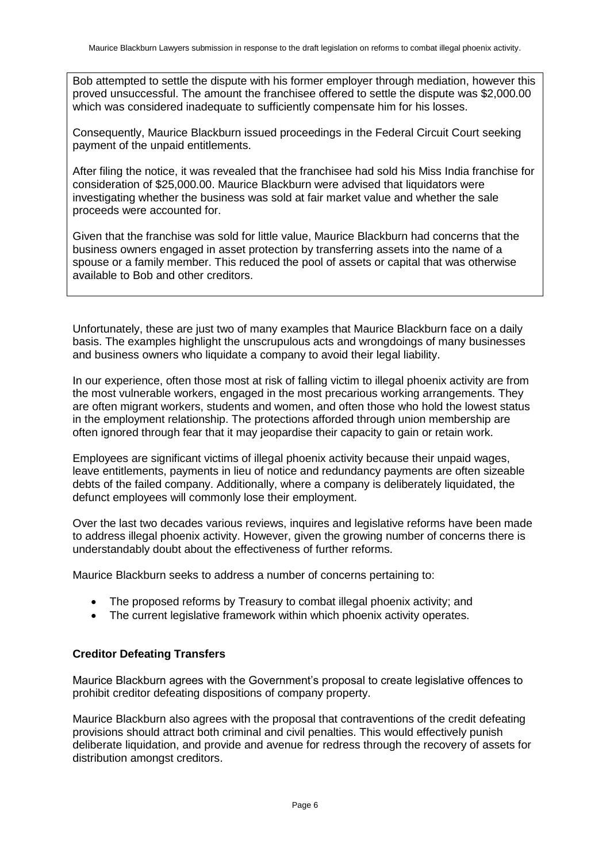Bob attempted to settle the dispute with his former employer through mediation, however this proved unsuccessful. The amount the franchisee offered to settle the dispute was \$2,000.00 which was considered inadequate to sufficiently compensate him for his losses.

Consequently, Maurice Blackburn issued proceedings in the Federal Circuit Court seeking payment of the unpaid entitlements.

After filing the notice, it was revealed that the franchisee had sold his Miss India franchise for consideration of \$25,000.00. Maurice Blackburn were advised that liquidators were investigating whether the business was sold at fair market value and whether the sale proceeds were accounted for.

Given that the franchise was sold for little value, Maurice Blackburn had concerns that the business owners engaged in asset protection by transferring assets into the name of a spouse or a family member. This reduced the pool of assets or capital that was otherwise available to Bob and other creditors.

Unfortunately, these are just two of many examples that Maurice Blackburn face on a daily basis. The examples highlight the unscrupulous acts and wrongdoings of many businesses and business owners who liquidate a company to avoid their legal liability.

In our experience, often those most at risk of falling victim to illegal phoenix activity are from the most vulnerable workers, engaged in the most precarious working arrangements. They are often migrant workers, students and women, and often those who hold the lowest status in the employment relationship. The protections afforded through union membership are often ignored through fear that it may jeopardise their capacity to gain or retain work.

Employees are significant victims of illegal phoenix activity because their unpaid wages, leave entitlements, payments in lieu of notice and redundancy payments are often sizeable debts of the failed company. Additionally, where a company is deliberately liquidated, the defunct employees will commonly lose their employment.

Over the last two decades various reviews, inquires and legislative reforms have been made to address illegal phoenix activity. However, given the growing number of concerns there is understandably doubt about the effectiveness of further reforms.

Maurice Blackburn seeks to address a number of concerns pertaining to:

- The proposed reforms by Treasury to combat illegal phoenix activity; and
- The current legislative framework within which phoenix activity operates.

## <span id="page-7-0"></span>**Creditor Defeating Transfers**

Maurice Blackburn agrees with the Government's proposal to create legislative offences to prohibit creditor defeating dispositions of company property.

Maurice Blackburn also agrees with the proposal that contraventions of the credit defeating provisions should attract both criminal and civil penalties. This would effectively punish deliberate liquidation, and provide and avenue for redress through the recovery of assets for distribution amongst creditors.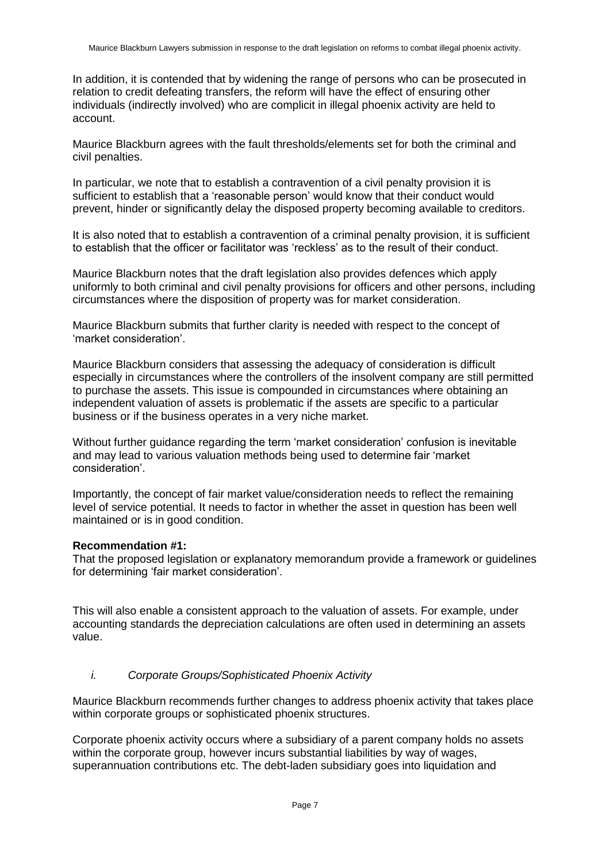In addition, it is contended that by widening the range of persons who can be prosecuted in relation to credit defeating transfers, the reform will have the effect of ensuring other individuals (indirectly involved) who are complicit in illegal phoenix activity are held to account.

Maurice Blackburn agrees with the fault thresholds/elements set for both the criminal and civil penalties.

In particular, we note that to establish a contravention of a civil penalty provision it is sufficient to establish that a 'reasonable person' would know that their conduct would prevent, hinder or significantly delay the disposed property becoming available to creditors.

It is also noted that to establish a contravention of a criminal penalty provision, it is sufficient to establish that the officer or facilitator was 'reckless' as to the result of their conduct.

Maurice Blackburn notes that the draft legislation also provides defences which apply uniformly to both criminal and civil penalty provisions for officers and other persons, including circumstances where the disposition of property was for market consideration.

Maurice Blackburn submits that further clarity is needed with respect to the concept of 'market consideration'.

Maurice Blackburn considers that assessing the adequacy of consideration is difficult especially in circumstances where the controllers of the insolvent company are still permitted to purchase the assets. This issue is compounded in circumstances where obtaining an independent valuation of assets is problematic if the assets are specific to a particular business or if the business operates in a very niche market.

Without further guidance regarding the term 'market consideration' confusion is inevitable and may lead to various valuation methods being used to determine fair 'market consideration'.

Importantly, the concept of fair market value/consideration needs to reflect the remaining level of service potential. It needs to factor in whether the asset in question has been well maintained or is in good condition.

#### **Recommendation #1:**

That the proposed legislation or explanatory memorandum provide a framework or guidelines for determining 'fair market consideration'.

This will also enable a consistent approach to the valuation of assets. For example, under accounting standards the depreciation calculations are often used in determining an assets value.

## <span id="page-8-0"></span>*i. Corporate Groups/Sophisticated Phoenix Activity*

Maurice Blackburn recommends further changes to address phoenix activity that takes place within corporate groups or sophisticated phoenix structures.

Corporate phoenix activity occurs where a subsidiary of a parent company holds no assets within the corporate group, however incurs substantial liabilities by way of wages, superannuation contributions etc. The debt-laden subsidiary goes into liquidation and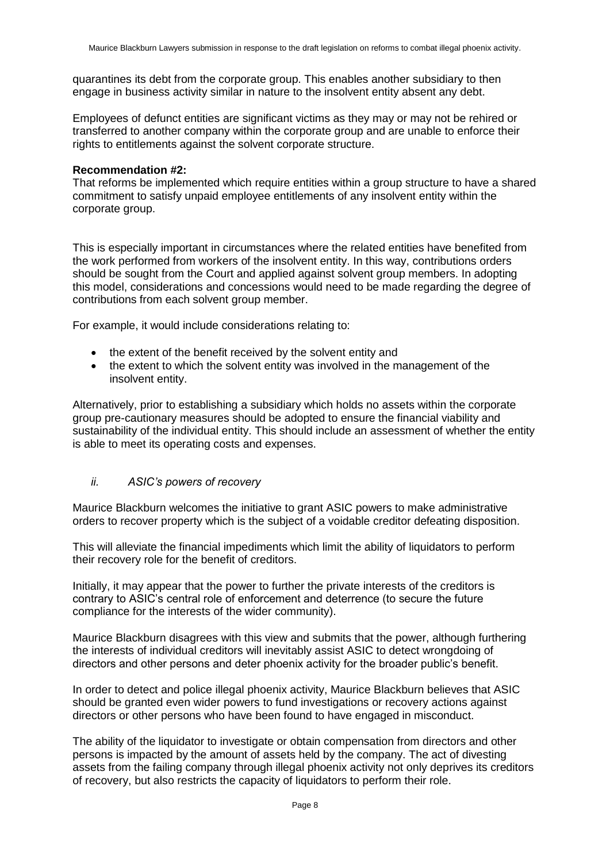quarantines its debt from the corporate group. This enables another subsidiary to then engage in business activity similar in nature to the insolvent entity absent any debt.

Employees of defunct entities are significant victims as they may or may not be rehired or transferred to another company within the corporate group and are unable to enforce their rights to entitlements against the solvent corporate structure.

#### **Recommendation #2:**

That reforms be implemented which require entities within a group structure to have a shared commitment to satisfy unpaid employee entitlements of any insolvent entity within the corporate group.

This is especially important in circumstances where the related entities have benefited from the work performed from workers of the insolvent entity. In this way, contributions orders should be sought from the Court and applied against solvent group members. In adopting this model, considerations and concessions would need to be made regarding the degree of contributions from each solvent group member.

For example, it would include considerations relating to:

- the extent of the benefit received by the solvent entity and
- the extent to which the solvent entity was involved in the management of the insolvent entity.

Alternatively, prior to establishing a subsidiary which holds no assets within the corporate group pre-cautionary measures should be adopted to ensure the financial viability and sustainability of the individual entity. This should include an assessment of whether the entity is able to meet its operating costs and expenses.

## <span id="page-9-0"></span>*ii. ASIC's powers of recovery*

Maurice Blackburn welcomes the initiative to grant ASIC powers to make administrative orders to recover property which is the subject of a voidable creditor defeating disposition.

This will alleviate the financial impediments which limit the ability of liquidators to perform their recovery role for the benefit of creditors.

Initially, it may appear that the power to further the private interests of the creditors is contrary to ASIC's central role of enforcement and deterrence (to secure the future compliance for the interests of the wider community).

Maurice Blackburn disagrees with this view and submits that the power, although furthering the interests of individual creditors will inevitably assist ASIC to detect wrongdoing of directors and other persons and deter phoenix activity for the broader public's benefit.

In order to detect and police illegal phoenix activity, Maurice Blackburn believes that ASIC should be granted even wider powers to fund investigations or recovery actions against directors or other persons who have been found to have engaged in misconduct.

The ability of the liquidator to investigate or obtain compensation from directors and other persons is impacted by the amount of assets held by the company. The act of divesting assets from the failing company through illegal phoenix activity not only deprives its creditors of recovery, but also restricts the capacity of liquidators to perform their role.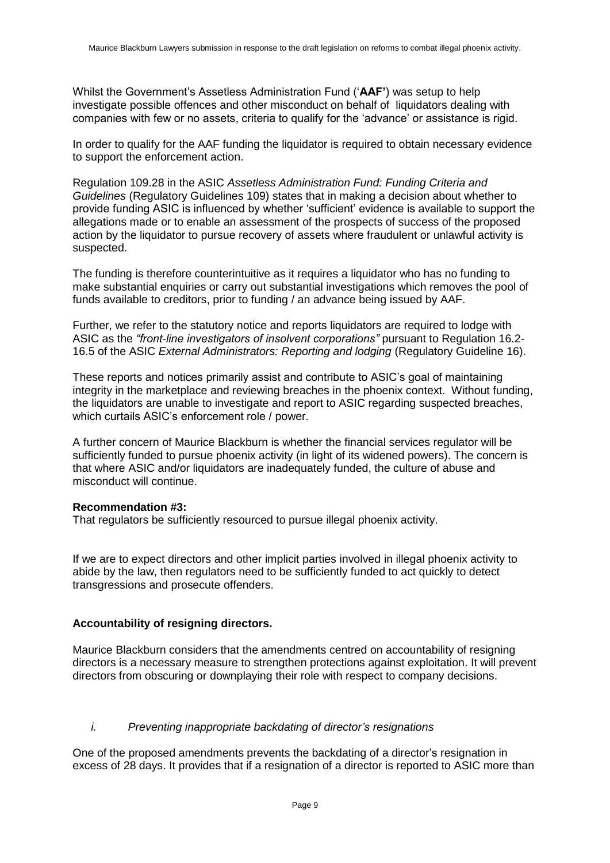Whilst the Government's Assetless Administration Fund ('**AAF'**) was setup to help investigate possible offences and other misconduct on behalf of liquidators dealing with companies with few or no assets, criteria to qualify for the 'advance' or assistance is rigid.

In order to qualify for the AAF funding the liquidator is required to obtain necessary evidence to support the enforcement action.

Regulation 109.28 in the ASIC *Assetless Administration Fund: Funding Criteria and Guidelines* (Regulatory Guidelines 109) states that in making a decision about whether to provide funding ASIC is influenced by whether 'sufficient' evidence is available to support the allegations made or to enable an assessment of the prospects of success of the proposed action by the liquidator to pursue recovery of assets where fraudulent or unlawful activity is suspected.

The funding is therefore counterintuitive as it requires a liquidator who has no funding to make substantial enquiries or carry out substantial investigations which removes the pool of funds available to creditors, prior to funding / an advance being issued by AAF.

Further, we refer to the statutory notice and reports liquidators are required to lodge with ASIC as the *"front-line investigators of insolvent corporations"* pursuant to Regulation 16.2- 16.5 of the ASIC *External Administrators: Reporting and lodging* (Regulatory Guideline 16).

These reports and notices primarily assist and contribute to ASIC's goal of maintaining integrity in the marketplace and reviewing breaches in the phoenix context. Without funding, the liquidators are unable to investigate and report to ASIC regarding suspected breaches, which curtails ASIC's enforcement role / power.

A further concern of Maurice Blackburn is whether the financial services regulator will be sufficiently funded to pursue phoenix activity (in light of its widened powers). The concern is that where ASIC and/or liquidators are inadequately funded, the culture of abuse and misconduct will continue.

## **Recommendation #3:**

That regulators be sufficiently resourced to pursue illegal phoenix activity.

If we are to expect directors and other implicit parties involved in illegal phoenix activity to abide by the law, then regulators need to be sufficiently funded to act quickly to detect transgressions and prosecute offenders.

## <span id="page-10-0"></span>**Accountability of resigning directors.**

Maurice Blackburn considers that the amendments centred on accountability of resigning directors is a necessary measure to strengthen protections against exploitation. It will prevent directors from obscuring or downplaying their role with respect to company decisions.

## <span id="page-10-1"></span>*i. Preventing inappropriate backdating of director's resignations*

One of the proposed amendments prevents the backdating of a director's resignation in excess of 28 days. It provides that if a resignation of a director is reported to ASIC more than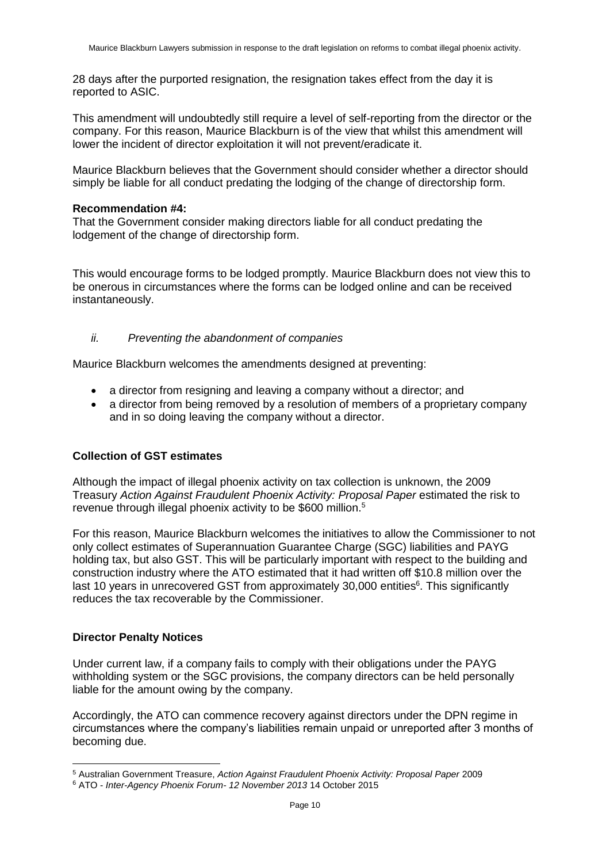28 days after the purported resignation, the resignation takes effect from the day it is reported to ASIC.

This amendment will undoubtedly still require a level of self-reporting from the director or the company. For this reason, Maurice Blackburn is of the view that whilst this amendment will lower the incident of director exploitation it will not prevent/eradicate it.

Maurice Blackburn believes that the Government should consider whether a director should simply be liable for all conduct predating the lodging of the change of directorship form.

#### **Recommendation #4:**

That the Government consider making directors liable for all conduct predating the lodgement of the change of directorship form.

This would encourage forms to be lodged promptly. Maurice Blackburn does not view this to be onerous in circumstances where the forms can be lodged online and can be received instantaneously.

## <span id="page-11-0"></span>*ii. Preventing the abandonment of companies*

Maurice Blackburn welcomes the amendments designed at preventing:

- a director from resigning and leaving a company without a director; and
- a director from being removed by a resolution of members of a proprietary company and in so doing leaving the company without a director.

## <span id="page-11-1"></span>**Collection of GST estimates**

Although the impact of illegal phoenix activity on tax collection is unknown, the 2009 Treasury *Action Against Fraudulent Phoenix Activity: Proposal Paper* estimated the risk to revenue through illegal phoenix activity to be \$600 million.<sup>5</sup>

For this reason, Maurice Blackburn welcomes the initiatives to allow the Commissioner to not only collect estimates of Superannuation Guarantee Charge (SGC) liabilities and PAYG holding tax, but also GST. This will be particularly important with respect to the building and construction industry where the ATO estimated that it had written off \$10.8 million over the last 10 years in unrecovered GST from approximately 30,000 entities<sup>6</sup>. This significantly reduces the tax recoverable by the Commissioner.

#### <span id="page-11-2"></span>**Director Penalty Notices**

Under current law, if a company fails to comply with their obligations under the PAYG withholding system or the SGC provisions, the company directors can be held personally liable for the amount owing by the company.

Accordingly, the ATO can commence recovery against directors under the DPN regime in circumstances where the company's liabilities remain unpaid or unreported after 3 months of becoming due.

<sup>5</sup> Australian Government Treasure, *Action Against Fraudulent Phoenix Activity: Proposal Paper* 2009

<sup>6</sup> ATO - *Inter-Agency Phoenix Forum- 12 November 2013* 14 October 2015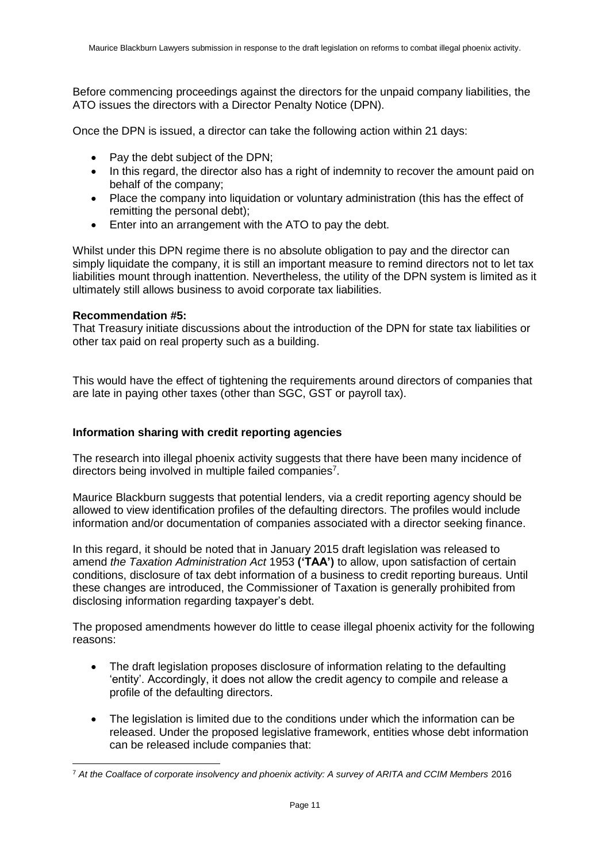Before commencing proceedings against the directors for the unpaid company liabilities, the ATO issues the directors with a Director Penalty Notice (DPN).

Once the DPN is issued, a director can take the following action within 21 days:

- Pay the debt subject of the DPN:
- In this regard, the director also has a right of indemnity to recover the amount paid on behalf of the company;
- Place the company into liquidation or voluntary administration (this has the effect of remitting the personal debt);
- Enter into an arrangement with the ATO to pay the debt.

Whilst under this DPN regime there is no absolute obligation to pay and the director can simply liquidate the company, it is still an important measure to remind directors not to let tax liabilities mount through inattention. Nevertheless, the utility of the DPN system is limited as it ultimately still allows business to avoid corporate tax liabilities.

#### **Recommendation #5:**

That Treasury initiate discussions about the introduction of the DPN for state tax liabilities or other tax paid on real property such as a building.

This would have the effect of tightening the requirements around directors of companies that are late in paying other taxes (other than SGC, GST or payroll tax).

## <span id="page-12-0"></span>**Information sharing with credit reporting agencies**

The research into illegal phoenix activity suggests that there have been many incidence of directors being involved in multiple failed companies<sup>7</sup>.

Maurice Blackburn suggests that potential lenders, via a credit reporting agency should be allowed to view identification profiles of the defaulting directors. The profiles would include information and/or documentation of companies associated with a director seeking finance.

In this regard, it should be noted that in January 2015 draft legislation was released to amend *the Taxation Administration Act* 1953 **('TAA')** to allow, upon satisfaction of certain conditions, disclosure of tax debt information of a business to credit reporting bureaus. Until these changes are introduced, the Commissioner of Taxation is generally prohibited from disclosing information regarding taxpayer's debt.

The proposed amendments however do little to cease illegal phoenix activity for the following reasons:

- The draft legislation proposes disclosure of information relating to the defaulting 'entity'. Accordingly, it does not allow the credit agency to compile and release a profile of the defaulting directors.
- The legislation is limited due to the conditions under which the information can be released. Under the proposed legislative framework, entities whose debt information can be released include companies that:

 <sup>7</sup> *At the Coalface of corporate insolvency and phoenix activity: A survey of ARITA and CCIM Members* 2016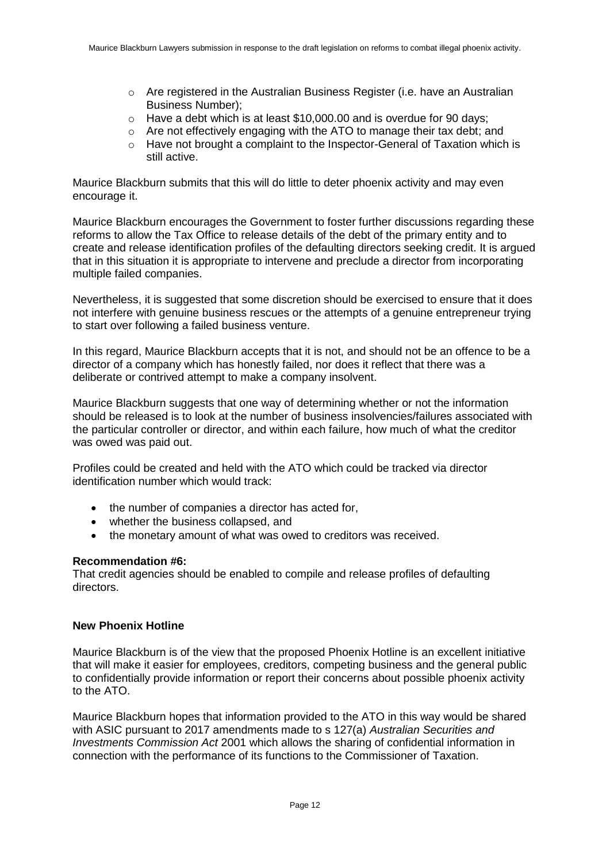- $\circ$  Are registered in the Australian Business Register (i.e. have an Australian Business Number);
- o Have a debt which is at least \$10,000.00 and is overdue for 90 days;
- o Are not effectively engaging with the ATO to manage their tax debt; and
- o Have not brought a complaint to the Inspector-General of Taxation which is still active.

Maurice Blackburn submits that this will do little to deter phoenix activity and may even encourage it.

Maurice Blackburn encourages the Government to foster further discussions regarding these reforms to allow the Tax Office to release details of the debt of the primary entity and to create and release identification profiles of the defaulting directors seeking credit. It is argued that in this situation it is appropriate to intervene and preclude a director from incorporating multiple failed companies.

Nevertheless, it is suggested that some discretion should be exercised to ensure that it does not interfere with genuine business rescues or the attempts of a genuine entrepreneur trying to start over following a failed business venture.

In this regard, Maurice Blackburn accepts that it is not, and should not be an offence to be a director of a company which has honestly failed, nor does it reflect that there was a deliberate or contrived attempt to make a company insolvent.

Maurice Blackburn suggests that one way of determining whether or not the information should be released is to look at the number of business insolvencies/failures associated with the particular controller or director, and within each failure, how much of what the creditor was owed was paid out.

Profiles could be created and held with the ATO which could be tracked via director identification number which would track:

- the number of companies a director has acted for,
- whether the business collapsed, and
- the monetary amount of what was owed to creditors was received.

## **Recommendation #6:**

That credit agencies should be enabled to compile and release profiles of defaulting directors.

#### <span id="page-13-0"></span>**New Phoenix Hotline**

Maurice Blackburn is of the view that the proposed Phoenix Hotline is an excellent initiative that will make it easier for employees, creditors, competing business and the general public to confidentially provide information or report their concerns about possible phoenix activity to the ATO.

Maurice Blackburn hopes that information provided to the ATO in this way would be shared with ASIC pursuant to 2017 amendments made to s 127(a) *Australian Securities and Investments Commission Act* 2001 which allows the sharing of confidential information in connection with the performance of its functions to the Commissioner of Taxation.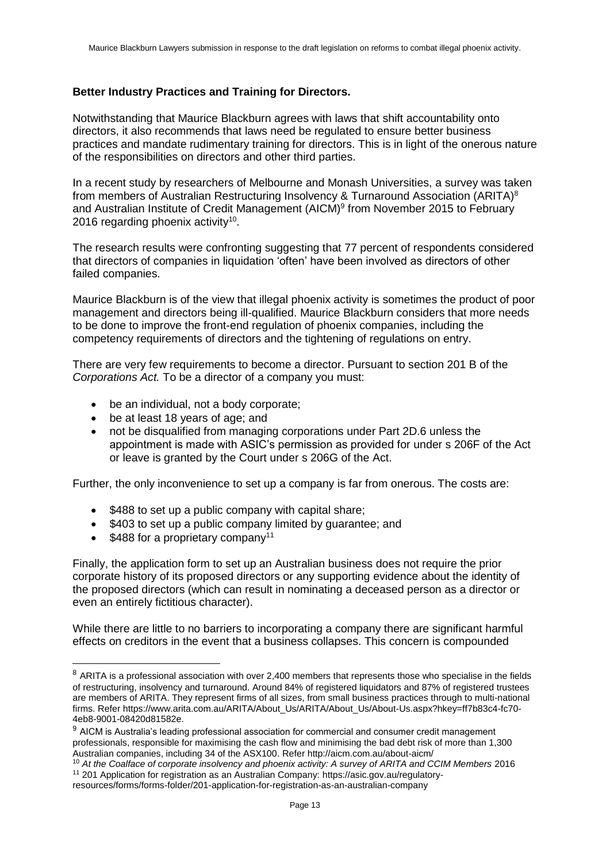#### <span id="page-14-0"></span>**Better Industry Practices and Training for Directors.**

Notwithstanding that Maurice Blackburn agrees with laws that shift accountability onto directors, it also recommends that laws need be regulated to ensure better business practices and mandate rudimentary training for directors. This is in light of the onerous nature of the responsibilities on directors and other third parties.

In a recent study by researchers of Melbourne and Monash Universities, a survey was taken from members of Australian Restructuring Insolvency & Turnaround Association (ARITA)<sup>8</sup> and Australian Institute of Credit Management (AICM)<sup>9</sup> from November 2015 to February 2016 regarding phoenix activity<sup>10</sup>.

The research results were confronting suggesting that 77 percent of respondents considered that directors of companies in liquidation 'often' have been involved as directors of other failed companies.

Maurice Blackburn is of the view that illegal phoenix activity is sometimes the product of poor management and directors being ill-qualified. Maurice Blackburn considers that more needs to be done to improve the front-end regulation of phoenix companies, including the competency requirements of directors and the tightening of regulations on entry.

There are very few requirements to become a director. Pursuant to section 201 B of the *Corporations Act.* To be a director of a company you must:

- be an individual, not a body corporate;
- be at least 18 years of age; and
- not be disqualified from managing corporations under Part 2D.6 unless the appointment is made with ASIC's permission as provided for under s 206F of the Act or leave is granted by the Court under s 206G of the Act.

Further, the only inconvenience to set up a company is far from onerous. The costs are:

- \$488 to set up a public company with capital share;
- \$403 to set up a public company limited by guarantee; and
- $\bullet$  \$488 for a proprietary company<sup>11</sup>

 $\overline{a}$ 

Finally, the application form to set up an Australian business does not require the prior corporate history of its proposed directors or any supporting evidence about the identity of the proposed directors (which can result in nominating a deceased person as a director or even an entirely fictitious character).

While there are little to no barriers to incorporating a company there are significant harmful effects on creditors in the event that a business collapses. This concern is compounded

 $8$  ARITA is a professional association with over 2,400 members that represents those who specialise in the fields of restructuring, insolvency and turnaround. Around 84% of registered liquidators and 87% of registered trustees are members of ARITA. They represent firms of all sizes, from small business practices through to multi-national firms. Refer [https://www.arita.com.au/ARITA/About\\_Us/ARITA/About\\_Us/About-Us.aspx?hkey=ff7b83c4-fc70-](https://www.arita.com.au/ARITA/About_Us/ARITA/About_Us/About-Us.aspx?hkey=ff7b83c4-fc70-4eb8-9001-08420d81582e) [4eb8-9001-08420d81582e.](https://www.arita.com.au/ARITA/About_Us/ARITA/About_Us/About-Us.aspx?hkey=ff7b83c4-fc70-4eb8-9001-08420d81582e)

<sup>&</sup>lt;sup>9</sup> AICM is Australia's leading professional association for commercial and consumer credit management professionals, responsible for maximising the cash flow and minimising the bad debt risk of more than 1,300 Australian companies, including 34 of the ASX100. Refer http://aicm.com.au/about-aicm/

<sup>&</sup>lt;sup>10</sup> At the Coalface of corporate insolvency and phoenix activity: A survey of ARITA and CCIM Members 2016 <sup>11</sup> 201 Application for registration as an Australian Company: https://asic.gov.au/regulatoryresources/forms/forms-folder/201-application-for-registration-as-an-australian-company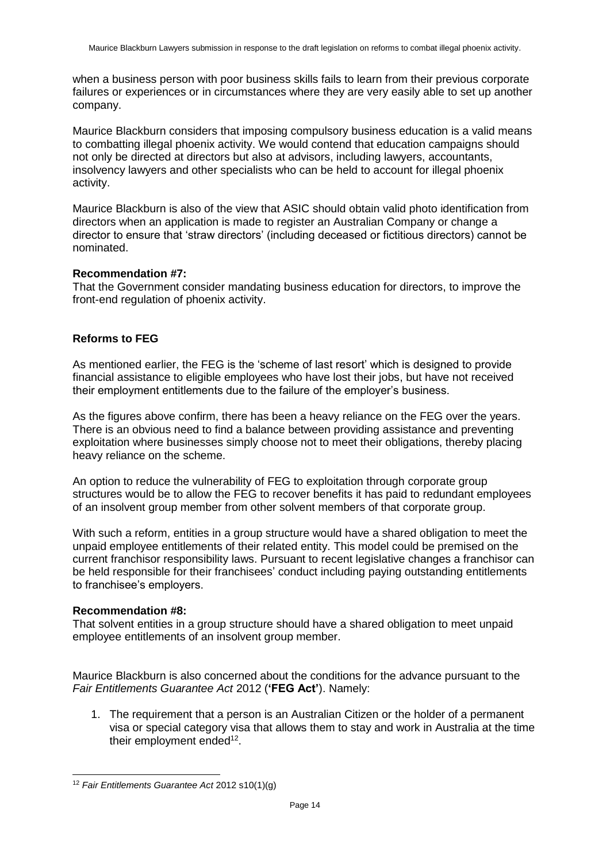when a business person with poor business skills fails to learn from their previous corporate failures or experiences or in circumstances where they are very easily able to set up another company.

Maurice Blackburn considers that imposing compulsory business education is a valid means to combatting illegal phoenix activity. We would contend that education campaigns should not only be directed at directors but also at advisors, including lawyers, accountants, insolvency lawyers and other specialists who can be held to account for illegal phoenix activity.

Maurice Blackburn is also of the view that ASIC should obtain valid photo identification from directors when an application is made to register an Australian Company or change a director to ensure that 'straw directors' (including deceased or fictitious directors) cannot be nominated.

#### **Recommendation #7:**

That the Government consider mandating business education for directors, to improve the front-end regulation of phoenix activity.

## <span id="page-15-0"></span>**Reforms to FEG**

As mentioned earlier, the FEG is the 'scheme of last resort' which is designed to provide financial assistance to eligible employees who have lost their jobs, but have not received their employment entitlements due to the failure of the employer's business.

As the figures above confirm, there has been a heavy reliance on the FEG over the years. There is an obvious need to find a balance between providing assistance and preventing exploitation where businesses simply choose not to meet their obligations, thereby placing heavy reliance on the scheme.

An option to reduce the vulnerability of FEG to exploitation through corporate group structures would be to allow the FEG to recover benefits it has paid to redundant employees of an insolvent group member from other solvent members of that corporate group.

With such a reform, entities in a group structure would have a shared obligation to meet the unpaid employee entitlements of their related entity. This model could be premised on the current franchisor responsibility laws. Pursuant to recent legislative changes a franchisor can be held responsible for their franchisees' conduct including paying outstanding entitlements to franchisee's employers.

#### **Recommendation #8:**

 $\overline{a}$ 

That solvent entities in a group structure should have a shared obligation to meet unpaid employee entitlements of an insolvent group member.

Maurice Blackburn is also concerned about the conditions for the advance pursuant to the *Fair Entitlements Guarantee Act* 2012 (**'FEG Act'**). Namely:

1. The requirement that a person is an Australian Citizen or the holder of a permanent visa or special category visa that allows them to stay and work in Australia at the time their employment ended<sup>12</sup>.

<sup>12</sup> *Fair Entitlements Guarantee Act* 2012 s10(1)(g)